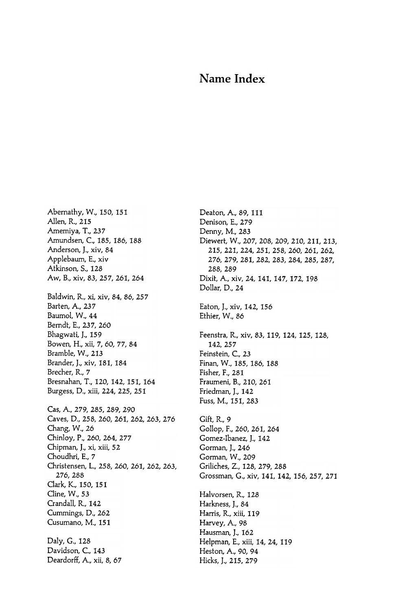## Name Index

Abernathy, W., 150, 151 Allen, R., 215 Amemiya, T., 237 Amundsen, C., 185, 186, 188 Anderson, J., xiv, 84 Applebaum, E., xiv Atkinson, S., 128 Aw, B., xiv, 83, 257, 261, 264 Baldwin, R., xi, xiv, 84, 86, 257 Barten, A., 237 Baumol, W., 44 Berndt, E., 237, 260 Bhagwati, J., 159 Bowen, H., xii, 7, 60, 77, 84 Bramble, W., 213 Brander, J., xiv, 181, 184 Brecher, R., 7 Bresnahan, T., 120, 142, 151, 164 Burgess, D., xiii, 224, 225, 251 Cas, A., 279, 285, 289, 290 Caves, D., 258, 260, 261, 262, 263, 276 Chang, W., 26 Chinloy, P., 260, 264, 277 Chipman, J., xi, xiii, 52 Choudhri, E., 7 Christensen, L., 258, 260, 261, 262, 263, 276, 288 Clark, K., 150, 151 Cline, W., 53 Crandall, R., 142 Cummings, D., 262 Cusumano, M., 151 Daly, G., 128 Davidson, C., 143 Deardorff, A., xii, 8, 67

Deaton, A., 89, 111 Denison, E., 279 Denny, M., 283 Diewert, W., 207, 208, 209, 210, 211, 213, 215, 221, 224, 251, 258, 260, 261, 262, 276, 279, 281, 282, 283, 284, 285, 287, 288, 289 Dixit, A., xiv, 24, 141, 147, 172, 198 Dollar, D., 24 Eaton, J., xiv, 142, 156 Ethier, W., 86 Feenstra, R., xiv, 83, 119, 124, 125, 128, 142, 257 Feinstein, C., 23 Finan, W., 185, 186, 188 Fisher, F., 281 Fraumeni, B., 210, 261 Friedman, J., 142 Fuss, M., 151, 283 Gift, R., 9 Gollop, F., 260, 261, 264 Gomez-Ibanez, J., 142 Gorman, J., 246 Gorman, W., 209 Griliches, Z., 128, 279, 288 Grossman, G., xiv, 141, 142, 156, 257, 271 Halvorsen, R., 128 Harkness, J., 84 Harris, R., xiii, 119 Harvey, A., 98 Hausman, J., 162 Helpman, E., xiii, 14, 24, 119 Heston, A., 90, 94 Hicks, J., 215, 279